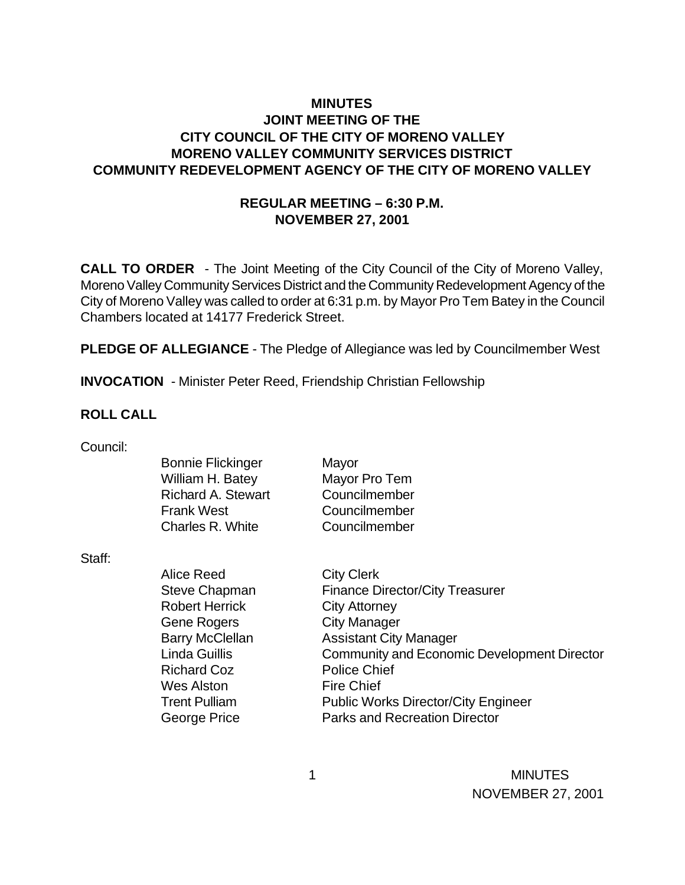### **MINUTES JOINT MEETING OF THE CITY COUNCIL OF THE CITY OF MORENO VALLEY MORENO VALLEY COMMUNITY SERVICES DISTRICT COMMUNITY REDEVELOPMENT AGENCY OF THE CITY OF MORENO VALLEY**

### **REGULAR MEETING – 6:30 P.M. NOVEMBER 27, 2001**

**CALL TO ORDER** - The Joint Meeting of the City Council of the City of Moreno Valley, Moreno Valley Community Services District and the Community Redevelopment Agency of the City of Moreno Valley was called to order at 6:31 p.m. by Mayor Pro Tem Batey in the Council Chambers located at 14177 Frederick Street.

**PLEDGE OF ALLEGIANCE** - The Pledge of Allegiance was led by Councilmember West

**INVOCATION** - Minister Peter Reed, Friendship Christian Fellowship

### **ROLL CALL**

| Council: |  |
|----------|--|
|          |  |

|        | <b>Bonnie Flickinger</b><br>William H. Batey<br><b>Richard A. Stewart</b> | Mayor<br>Mayor Pro Tem<br>Councilmember     |
|--------|---------------------------------------------------------------------------|---------------------------------------------|
|        | <b>Frank West</b>                                                         | Councilmember                               |
|        | Charles R. White                                                          | Councilmember                               |
| Staff: |                                                                           |                                             |
|        | Alice Reed                                                                | <b>City Clerk</b>                           |
|        | <b>Steve Chapman</b>                                                      | <b>Finance Director/City Treasurer</b>      |
|        | <b>Robert Herrick</b>                                                     | <b>City Attorney</b>                        |
|        | Gene Rogers                                                               | <b>City Manager</b>                         |
|        | <b>Barry McClellan</b>                                                    | <b>Assistant City Manager</b>               |
|        | <b>Linda Guillis</b>                                                      | Community and Economic Development Director |
|        | <b>Richard Coz</b>                                                        | <b>Police Chief</b>                         |
|        | Wes Alston                                                                | <b>Fire Chief</b>                           |
|        | <b>Trent Pulliam</b>                                                      | <b>Public Works Director/City Engineer</b>  |
|        | George Price                                                              | <b>Parks and Recreation Director</b>        |
|        |                                                                           |                                             |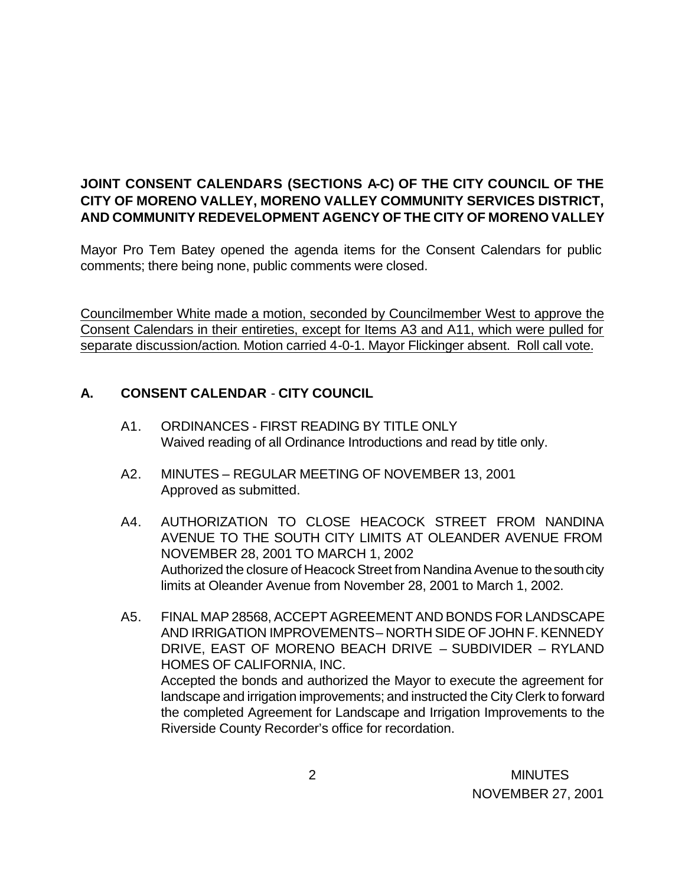# **JOINT CONSENT CALENDARS (SECTIONS A-C) OF THE CITY COUNCIL OF THE CITY OF MORENO VALLEY, MORENO VALLEY COMMUNITY SERVICES DISTRICT, AND COMMUNITY REDEVELOPMENT AGENCY OF THE CITY OF MORENO VALLEY**

Mayor Pro Tem Batey opened the agenda items for the Consent Calendars for public comments; there being none, public comments were closed.

Councilmember White made a motion, seconded by Councilmember West to approve the Consent Calendars in their entireties, except for Items A3 and A11, which were pulled for separate discussion/action. Motion carried 4-0-1. Mayor Flickinger absent. Roll call vote.

# **A. CONSENT CALENDAR** - **CITY COUNCIL**

- A1. ORDINANCES FIRST READING BY TITLE ONLY Waived reading of all Ordinance Introductions and read by title only.
- A2. MINUTES REGULAR MEETING OF NOVEMBER 13, 2001 Approved as submitted.
- A4. AUTHORIZATION TO CLOSE HEACOCK STREET FROM NANDINA AVENUE TO THE SOUTH CITY LIMITS AT OLEANDER AVENUE FROM NOVEMBER 28, 2001 TO MARCH 1, 2002 Authorized the closure of Heacock Street from Nandina Avenue to the south city limits at Oleander Avenue from November 28, 2001 to March 1, 2002.
- A5. FINAL MAP 28568, ACCEPT AGREEMENT AND BONDS FOR LANDSCAPE AND IRRIGATION IMPROVEMENTS – NORTH SIDE OF JOHN F. KENNEDY DRIVE, EAST OF MORENO BEACH DRIVE – SUBDIVIDER – RYLAND HOMES OF CALIFORNIA, INC. Accepted the bonds and authorized the Mayor to execute the agreement for landscape and irrigation improvements; and instructed the City Clerk to forward the completed Agreement for Landscape and Irrigation Improvements to the Riverside County Recorder's office for recordation.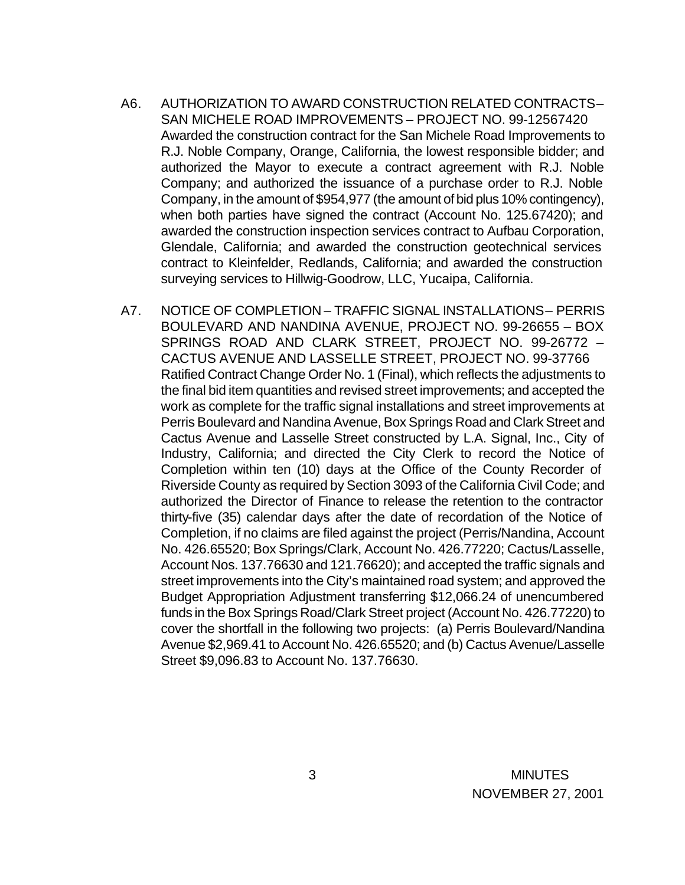- A6. AUTHORIZATION TO AWARD CONSTRUCTION RELATED CONTRACTS SAN MICHELE ROAD IMPROVEMENTS – PROJECT NO. 99-12567420 Awarded the construction contract for the San Michele Road Improvements to R.J. Noble Company, Orange, California, the lowest responsible bidder; and authorized the Mayor to execute a contract agreement with R.J. Noble Company; and authorized the issuance of a purchase order to R.J. Noble Company, in the amount of \$954,977 (the amount of bid plus 10% contingency), when both parties have signed the contract (Account No. 125.67420); and awarded the construction inspection services contract to Aufbau Corporation, Glendale, California; and awarded the construction geotechnical services contract to Kleinfelder, Redlands, California; and awarded the construction surveying services to Hillwig-Goodrow, LLC, Yucaipa, California.
- A7. NOTICE OF COMPLETION TRAFFIC SIGNAL INSTALLATIONS PERRIS BOULEVARD AND NANDINA AVENUE, PROJECT NO. 99-26655 – BOX SPRINGS ROAD AND CLARK STREET, PROJECT NO. 99-26772 – CACTUS AVENUE AND LASSELLE STREET, PROJECT NO. 99-37766 Ratified Contract Change Order No. 1 (Final), which reflects the adjustments to the final bid item quantities and revised street improvements; and accepted the work as complete for the traffic signal installations and street improvements at Perris Boulevard and Nandina Avenue, Box Springs Road and Clark Street and Cactus Avenue and Lasselle Street constructed by L.A. Signal, Inc., City of Industry, California; and directed the City Clerk to record the Notice of Completion within ten (10) days at the Office of the County Recorder of Riverside County as required by Section 3093 of the California Civil Code; and authorized the Director of Finance to release the retention to the contractor thirty-five (35) calendar days after the date of recordation of the Notice of Completion, if no claims are filed against the project (Perris/Nandina, Account No. 426.65520; Box Springs/Clark, Account No. 426.77220; Cactus/Lasselle, Account Nos. 137.76630 and 121.76620); and accepted the traffic signals and street improvements into the City's maintained road system; and approved the Budget Appropriation Adjustment transferring \$12,066.24 of unencumbered funds in the Box Springs Road/Clark Street project (Account No. 426.77220) to cover the shortfall in the following two projects: (a) Perris Boulevard/Nandina Avenue \$2,969.41 to Account No. 426.65520; and (b) Cactus Avenue/Lasselle Street \$9,096.83 to Account No. 137.76630.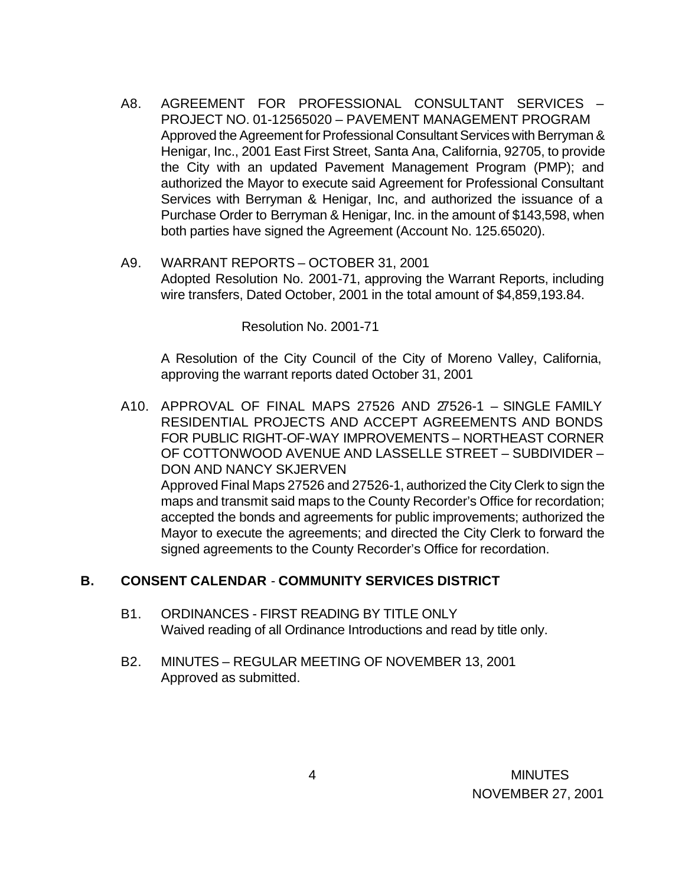- A8. AGREEMENT FOR PROFESSIONAL CONSULTANT SERVICES PROJECT NO. 01-12565020 – PAVEMENT MANAGEMENT PROGRAM Approved the Agreement for Professional Consultant Services with Berryman & Henigar, Inc., 2001 East First Street, Santa Ana, California, 92705, to provide the City with an updated Pavement Management Program (PMP); and authorized the Mayor to execute said Agreement for Professional Consultant Services with Berryman & Henigar, Inc, and authorized the issuance of a Purchase Order to Berryman & Henigar, Inc. in the amount of \$143,598, when both parties have signed the Agreement (Account No. 125.65020).
- A9. WARRANT REPORTS OCTOBER 31, 2001 Adopted Resolution No. 2001-71, approving the Warrant Reports, including wire transfers, Dated October, 2001 in the total amount of \$4,859,193.84.

Resolution No. 2001-71

A Resolution of the City Council of the City of Moreno Valley, California, approving the warrant reports dated October 31, 2001

A10. APPROVAL OF FINAL MAPS 27526 AND 27526-1 – SINGLE FAMILY RESIDENTIAL PROJECTS AND ACCEPT AGREEMENTS AND BONDS FOR PUBLIC RIGHT-OF-WAY IMPROVEMENTS – NORTHEAST CORNER OF COTTONWOOD AVENUE AND LASSELLE STREET – SUBDIVIDER – DON AND NANCY SKJERVEN Approved Final Maps 27526 and 27526-1, authorized the City Clerk to sign the maps and transmit said maps to the County Recorder's Office for recordation; accepted the bonds and agreements for public improvements; authorized the Mayor to execute the agreements; and directed the City Clerk to forward the signed agreements to the County Recorder's Office for recordation.

### **B. CONSENT CALENDAR** - **COMMUNITY SERVICES DISTRICT**

- B1. ORDINANCES FIRST READING BY TITLE ONLY Waived reading of all Ordinance Introductions and read by title only.
- B2. MINUTES REGULAR MEETING OF NOVEMBER 13, 2001 Approved as submitted.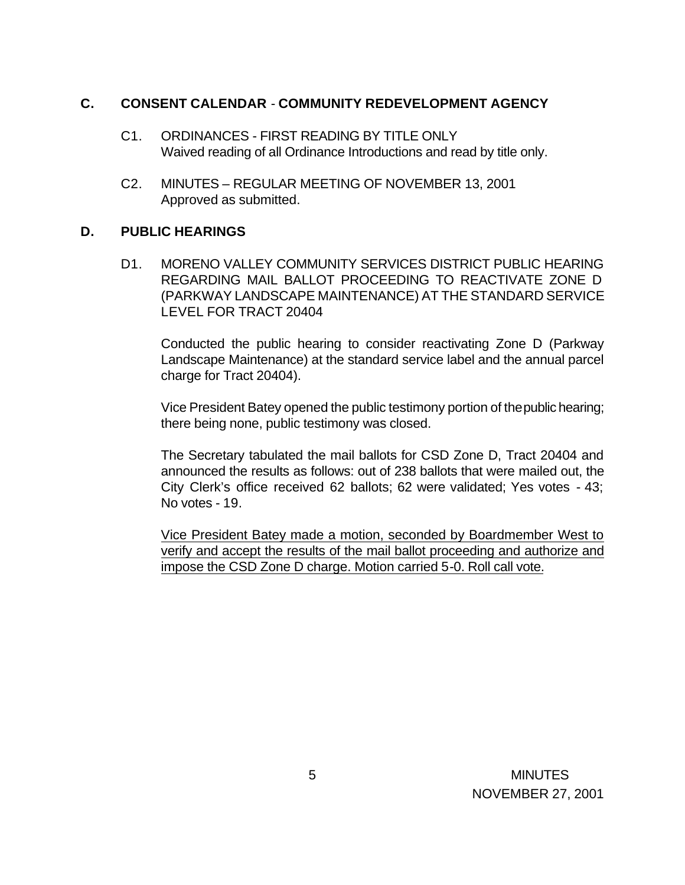#### **C. CONSENT CALENDAR** - **COMMUNITY REDEVELOPMENT AGENCY**

- C1. ORDINANCES FIRST READING BY TITLE ONLY Waived reading of all Ordinance Introductions and read by title only.
- C2. MINUTES REGULAR MEETING OF NOVEMBER 13, 2001 Approved as submitted.

### **D. PUBLIC HEARINGS**

D1. MORENO VALLEY COMMUNITY SERVICES DISTRICT PUBLIC HEARING REGARDING MAIL BALLOT PROCEEDING TO REACTIVATE ZONE D (PARKWAY LANDSCAPE MAINTENANCE) AT THE STANDARD SERVICE LEVEL FOR TRACT 20404

Conducted the public hearing to consider reactivating Zone D (Parkway Landscape Maintenance) at the standard service label and the annual parcel charge for Tract 20404).

Vice President Batey opened the public testimony portion of the public hearing; there being none, public testimony was closed.

The Secretary tabulated the mail ballots for CSD Zone D, Tract 20404 and announced the results as follows: out of 238 ballots that were mailed out, the City Clerk's office received 62 ballots; 62 were validated; Yes votes - 43; No votes - 19.

Vice President Batey made a motion, seconded by Boardmember West to verify and accept the results of the mail ballot proceeding and authorize and impose the CSD Zone D charge. Motion carried 5-0. Roll call vote.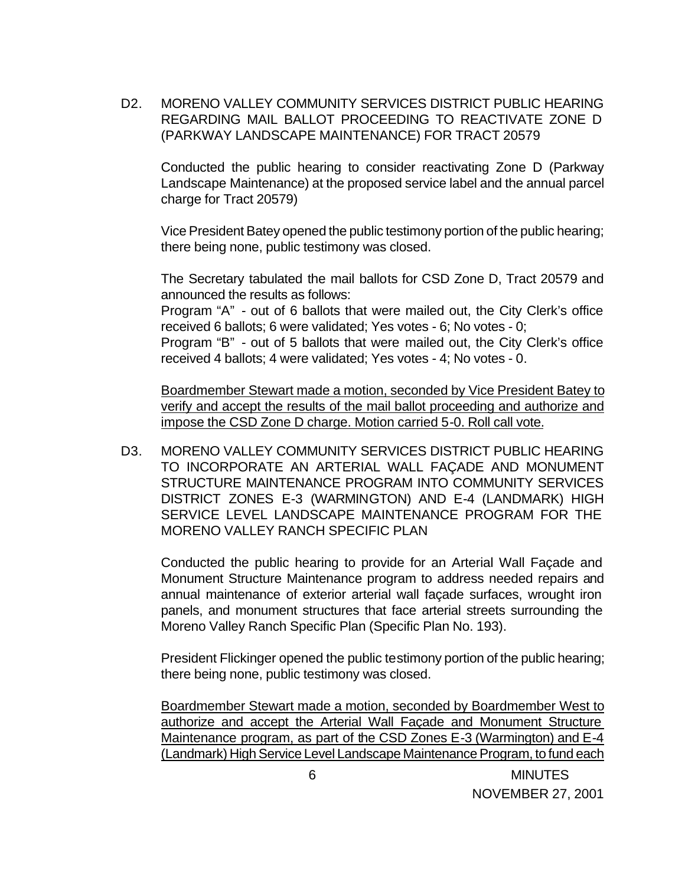D2. MORENO VALLEY COMMUNITY SERVICES DISTRICT PUBLIC HEARING REGARDING MAIL BALLOT PROCEEDING TO REACTIVATE ZONE D (PARKWAY LANDSCAPE MAINTENANCE) FOR TRACT 20579

Conducted the public hearing to consider reactivating Zone D (Parkway Landscape Maintenance) at the proposed service label and the annual parcel charge for Tract 20579)

Vice President Batey opened the public testimony portion of the public hearing; there being none, public testimony was closed.

The Secretary tabulated the mail ballots for CSD Zone D, Tract 20579 and announced the results as follows:

Program "A" - out of 6 ballots that were mailed out, the City Clerk's office received 6 ballots; 6 were validated; Yes votes - 6; No votes - 0;

Program "B" - out of 5 ballots that were mailed out, the City Clerk's office received 4 ballots; 4 were validated; Yes votes - 4; No votes - 0.

Boardmember Stewart made a motion, seconded by Vice President Batey to verify and accept the results of the mail ballot proceeding and authorize and impose the CSD Zone D charge. Motion carried 5-0. Roll call vote.

D3. MORENO VALLEY COMMUNITY SERVICES DISTRICT PUBLIC HEARING TO INCORPORATE AN ARTERIAL WALL FAÇADE AND MONUMENT STRUCTURE MAINTENANCE PROGRAM INTO COMMUNITY SERVICES DISTRICT ZONES E-3 (WARMINGTON) AND E-4 (LANDMARK) HIGH SERVICE LEVEL LANDSCAPE MAINTENANCE PROGRAM FOR THE MORENO VALLEY RANCH SPECIFIC PLAN

Conducted the public hearing to provide for an Arterial Wall Façade and Monument Structure Maintenance program to address needed repairs and annual maintenance of exterior arterial wall façade surfaces, wrought iron panels, and monument structures that face arterial streets surrounding the Moreno Valley Ranch Specific Plan (Specific Plan No. 193).

President Flickinger opened the public testimony portion of the public hearing; there being none, public testimony was closed.

Boardmember Stewart made a motion, seconded by Boardmember West to authorize and accept the Arterial Wall Façade and Monument Structure Maintenance program, as part of the CSD Zones E-3 (Warmington) and E-4 (Landmark) High Service Level Landscape Maintenance Program, to fund each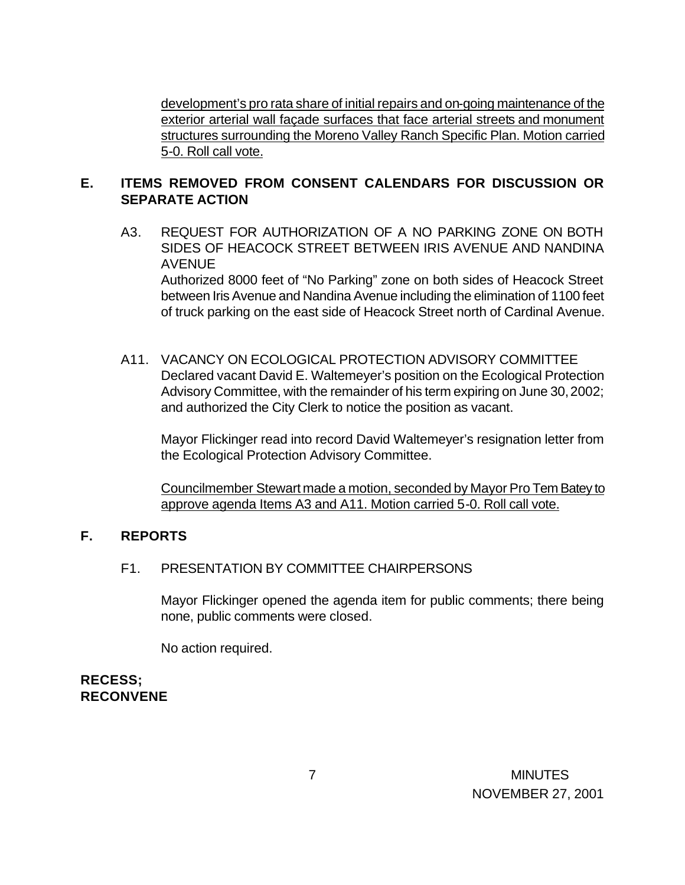development's pro rata share of initial repairs and on-going maintenance of the exterior arterial wall façade surfaces that face arterial streets and monument structures surrounding the Moreno Valley Ranch Specific Plan. Motion carried 5-0. Roll call vote.

### **E. ITEMS REMOVED FROM CONSENT CALENDARS FOR DISCUSSION OR SEPARATE ACTION**

A3. REQUEST FOR AUTHORIZATION OF A NO PARKING ZONE ON BOTH SIDES OF HEACOCK STREET BETWEEN IRIS AVENUE AND NANDINA AVENUE

Authorized 8000 feet of "No Parking" zone on both sides of Heacock Street between Iris Avenue and Nandina Avenue including the elimination of 1100 feet of truck parking on the east side of Heacock Street north of Cardinal Avenue.

A11. VACANCY ON ECOLOGICAL PROTECTION ADVISORY COMMITTEE Declared vacant David E. Waltemeyer's position on the Ecological Protection Advisory Committee, with the remainder of his term expiring on June 30, 2002; and authorized the City Clerk to notice the position as vacant.

Mayor Flickinger read into record David Waltemeyer's resignation letter from the Ecological Protection Advisory Committee.

Councilmember Stewart made a motion, seconded by Mayor Pro Tem Batey to approve agenda Items A3 and A11. Motion carried 5-0. Roll call vote.

#### **F. REPORTS**

#### F1. PRESENTATION BY COMMITTEE CHAIRPERSONS

Mayor Flickinger opened the agenda item for public comments; there being none, public comments were closed.

No action required.

# **RECESS; RECONVENE**

 7 MINUTES NOVEMBER 27, 2001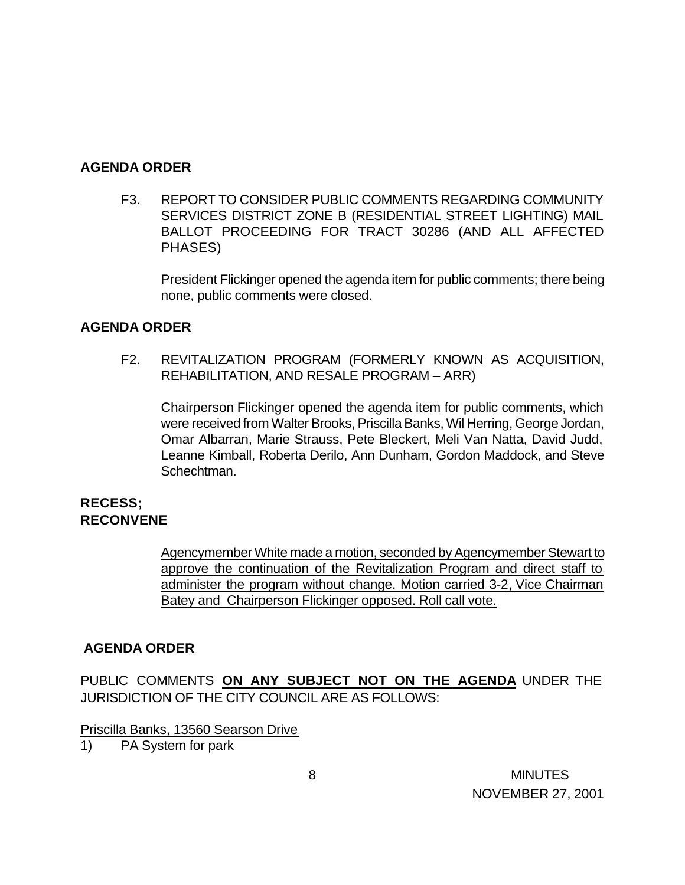#### **AGENDA ORDER**

F3. REPORT TO CONSIDER PUBLIC COMMENTS REGARDING COMMUNITY SERVICES DISTRICT ZONE B (RESIDENTIAL STREET LIGHTING) MAIL BALLOT PROCEEDING FOR TRACT 30286 (AND ALL AFFECTED PHASES)

President Flickinger opened the agenda item for public comments; there being none, public comments were closed.

### **AGENDA ORDER**

F2. REVITALIZATION PROGRAM (FORMERLY KNOWN AS ACQUISITION, REHABILITATION, AND RESALE PROGRAM – ARR)

Chairperson Flickinger opened the agenda item for public comments, which were received from Walter Brooks, Priscilla Banks, Wil Herring, George Jordan, Omar Albarran, Marie Strauss, Pete Bleckert, Meli Van Natta, David Judd, Leanne Kimball, Roberta Derilo, Ann Dunham, Gordon Maddock, and Steve Schechtman.

#### **RECESS; RECONVENE**

Agencymember White made a motion, seconded by Agencymember Stewart to approve the continuation of the Revitalization Program and direct staff to administer the program without change. Motion carried 3-2, Vice Chairman Batey and Chairperson Flickinger opposed. Roll call vote.

### **AGENDA ORDER**

PUBLIC COMMENTS **ON ANY SUBJECT NOT ON THE AGENDA** UNDER THE JURISDICTION OF THE CITY COUNCIL ARE AS FOLLOWS:

Priscilla Banks, 13560 Searson Drive

1) PA System for park

 8 MINUTES NOVEMBER 27, 2001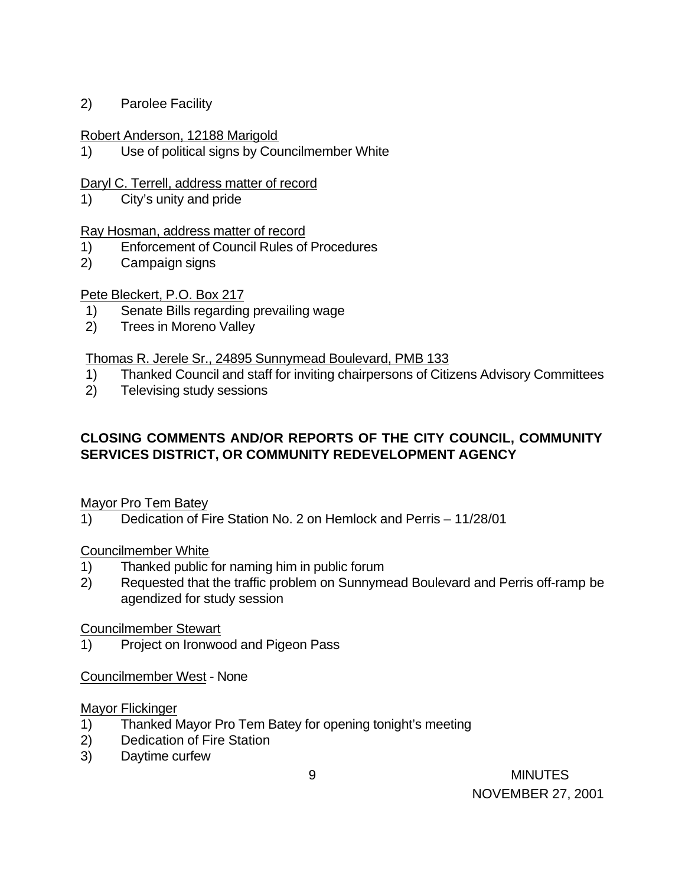2) Parolee Facility

#### Robert Anderson, 12188 Marigold

1) Use of political signs by Councilmember White

### Daryl C. Terrell, address matter of record

1) City's unity and pride

#### Ray Hosman, address matter of record

- 1) Enforcement of Council Rules of Procedures
- 2) Campaign signs

### Pete Bleckert, P.O. Box 217

- 1) Senate Bills regarding prevailing wage
- 2) Trees in Moreno Valley

### Thomas R. Jerele Sr., 24895 Sunnymead Boulevard, PMB 133

- 1) Thanked Council and staff for inviting chairpersons of Citizens Advisory Committees
- 2) Televising study sessions

# **CLOSING COMMENTS AND/OR REPORTS OF THE CITY COUNCIL, COMMUNITY SERVICES DISTRICT, OR COMMUNITY REDEVELOPMENT AGENCY**

### Mayor Pro Tem Batey

1) Dedication of Fire Station No. 2 on Hemlock and Perris – 11/28/01

#### Councilmember White

- 1) Thanked public for naming him in public forum
- 2) Requested that the traffic problem on Sunnymead Boulevard and Perris off-ramp be agendized for study session

#### Councilmember Stewart

1) Project on Ironwood and Pigeon Pass

#### Councilmember West - None

#### Mayor Flickinger

- 1) Thanked Mayor Pro Tem Batey for opening tonight's meeting
- 2) Dedication of Fire Station
- 3) Daytime curfew

 9 MINUTES NOVEMBER 27, 2001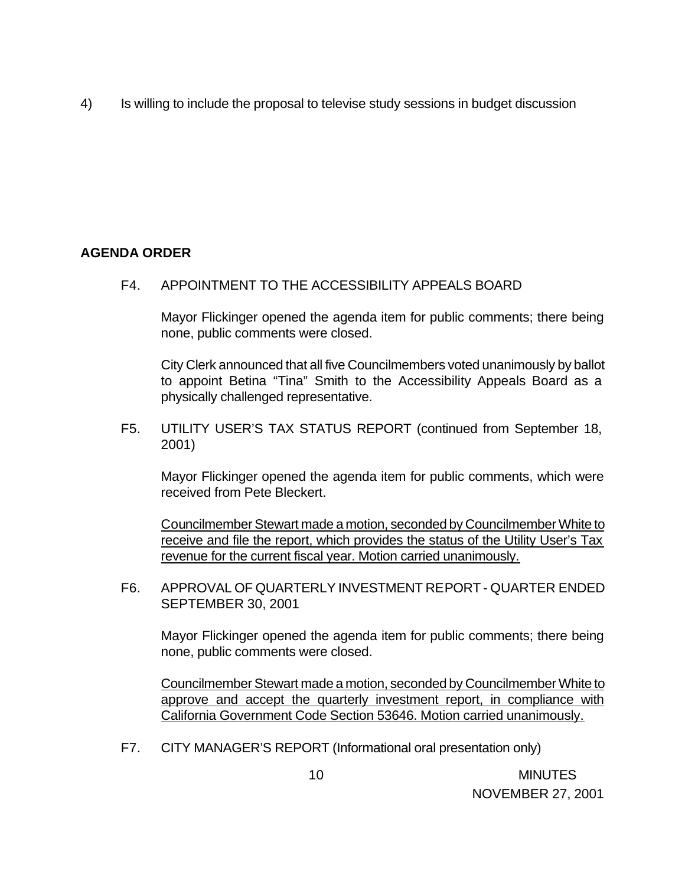4) Is willing to include the proposal to televise study sessions in budget discussion

# **AGENDA ORDER**

F4. APPOINTMENT TO THE ACCESSIBILITY APPEALS BOARD

Mayor Flickinger opened the agenda item for public comments; there being none, public comments were closed.

City Clerk announced that all five Councilmembers voted unanimously by ballot to appoint Betina "Tina" Smith to the Accessibility Appeals Board as a physically challenged representative.

F5. UTILITY USER'S TAX STATUS REPORT (continued from September 18, 2001)

Mayor Flickinger opened the agenda item for public comments, which were received from Pete Bleckert.

Councilmember Stewart made a motion, seconded by Councilmember White to receive and file the report, which provides the status of the Utility User's Tax revenue for the current fiscal year. Motion carried unanimously.

F6. APPROVAL OF QUARTERLY INVESTMENT REPORT - QUARTER ENDED SEPTEMBER 30, 2001

Mayor Flickinger opened the agenda item for public comments; there being none, public comments were closed.

Councilmember Stewart made a motion, seconded by Councilmember White to approve and accept the quarterly investment report, in compliance with California Government Code Section 53646. Motion carried unanimously.

F7. CITY MANAGER'S REPORT (Informational oral presentation only)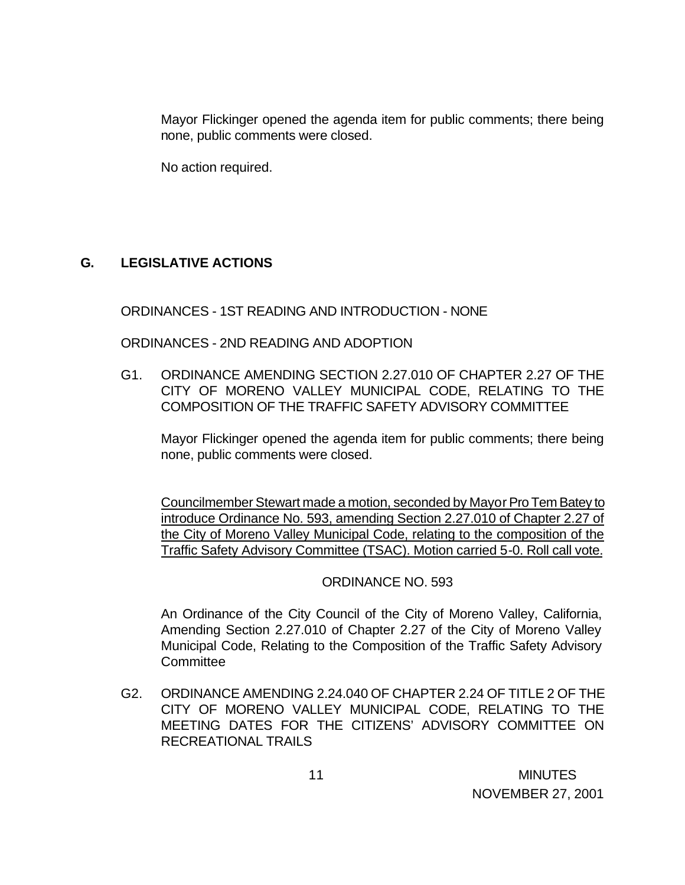Mayor Flickinger opened the agenda item for public comments; there being none, public comments were closed.

No action required.

# **G. LEGISLATIVE ACTIONS**

ORDINANCES - 1ST READING AND INTRODUCTION - NONE

ORDINANCES - 2ND READING AND ADOPTION

G1. ORDINANCE AMENDING SECTION 2.27.010 OF CHAPTER 2.27 OF THE CITY OF MORENO VALLEY MUNICIPAL CODE, RELATING TO THE COMPOSITION OF THE TRAFFIC SAFETY ADVISORY COMMITTEE

Mayor Flickinger opened the agenda item for public comments; there being none, public comments were closed.

Councilmember Stewart made a motion, seconded by Mayor Pro Tem Batey to introduce Ordinance No. 593, amending Section 2.27.010 of Chapter 2.27 of the City of Moreno Valley Municipal Code, relating to the composition of the Traffic Safety Advisory Committee (TSAC). Motion carried 5-0. Roll call vote.

ORDINANCE NO. 593

An Ordinance of the City Council of the City of Moreno Valley, California, Amending Section 2.27.010 of Chapter 2.27 of the City of Moreno Valley Municipal Code, Relating to the Composition of the Traffic Safety Advisory **Committee** 

G2. ORDINANCE AMENDING 2.24.040 OF CHAPTER 2.24 OF TITLE 2 OF THE CITY OF MORENO VALLEY MUNICIPAL CODE, RELATING TO THE MEETING DATES FOR THE CITIZENS' ADVISORY COMMITTEE ON RECREATIONAL TRAILS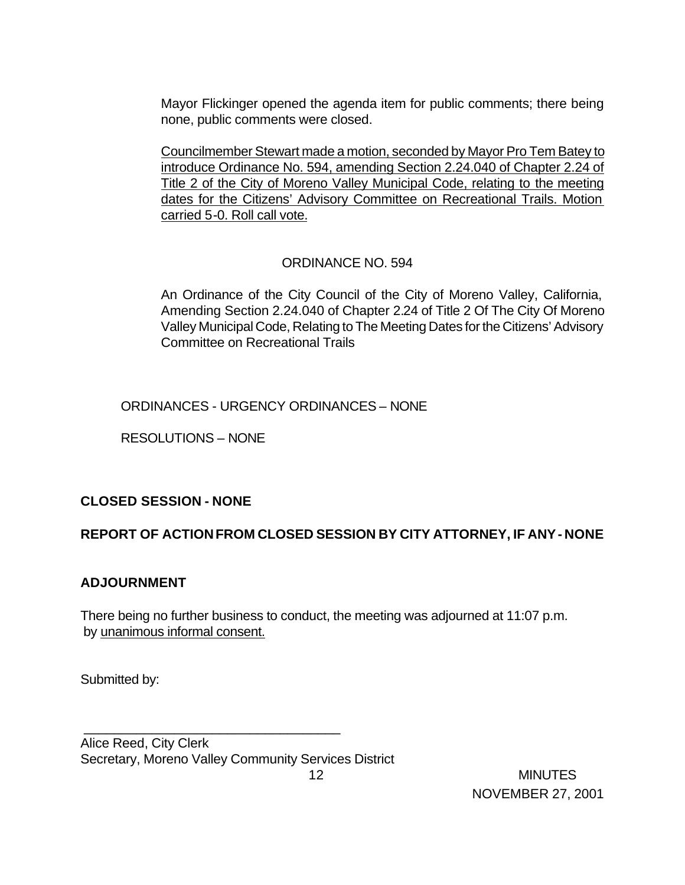Mayor Flickinger opened the agenda item for public comments; there being none, public comments were closed.

Councilmember Stewart made a motion, seconded by Mayor Pro Tem Batey to introduce Ordinance No. 594, amending Section 2.24.040 of Chapter 2.24 of Title 2 of the City of Moreno Valley Municipal Code, relating to the meeting dates for the Citizens' Advisory Committee on Recreational Trails. Motion carried 5-0. Roll call vote.

### ORDINANCE NO. 594

An Ordinance of the City Council of the City of Moreno Valley, California, Amending Section 2.24.040 of Chapter 2.24 of Title 2 Of The City Of Moreno Valley Municipal Code, Relating to The Meeting Dates for the Citizens' Advisory Committee on Recreational Trails

ORDINANCES - URGENCY ORDINANCES – NONE

RESOLUTIONS – NONE

### **CLOSED SESSION - NONE**

### **REPORT OF ACTION FROM CLOSED SESSION BY CITY ATTORNEY, IF ANY - NONE**

### **ADJOURNMENT**

There being no further business to conduct, the meeting was adjourned at 11:07 p.m. by unanimous informal consent.

Submitted by:

Alice Reed, City Clerk Secretary, Moreno Valley Community Services District

\_\_\_\_\_\_\_\_\_\_\_\_\_\_\_\_\_\_\_\_\_\_\_\_\_\_\_\_\_\_\_\_\_\_